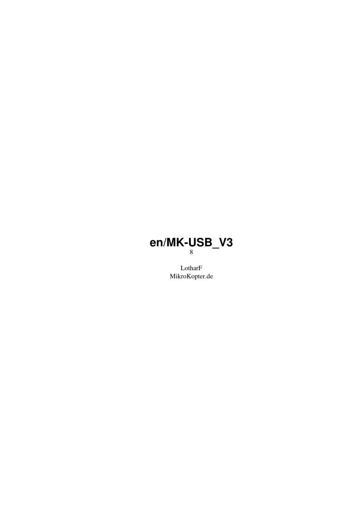#### **en/MK-USB\_V3** 8

LotharF MikroKopter.de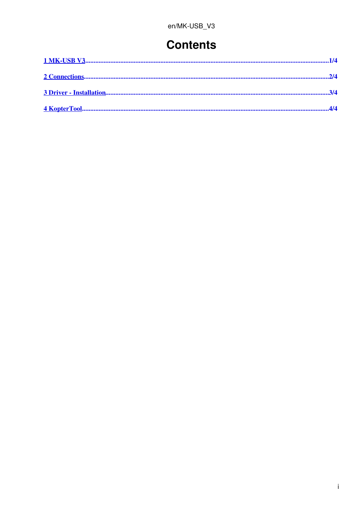#### **Contents**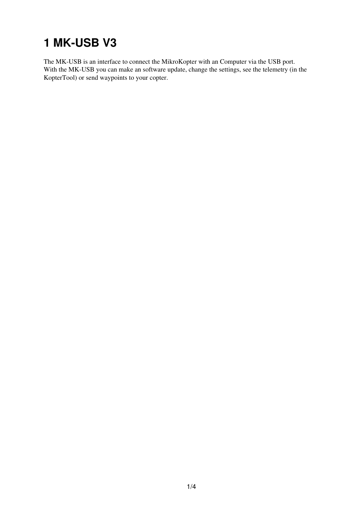## <span id="page-2-0"></span>**1 MK-USB V3**

The MK-USB is an interface to connect the MikroKopter with an Computer via the USB port. With the MK-USB you can make an software update, change the settings, see the telemetry (in the KopterTool) or send waypoints to your copter.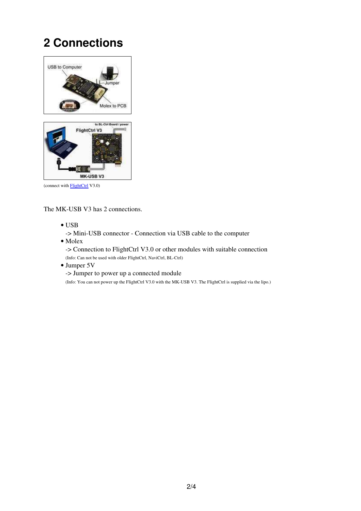### **2 Connections**

<span id="page-3-0"></span>

The MK-USB V3 has 2 connections.

• USB

-> Mini-USB connector - Connection via USB cable to the computer

• Molex

-> Connection to FlightCtrl V3.0 or other modules with suitable connection (Info: Can not be used with older FlightCtrl, NaviCtrl, BL-Ctrl)

• Jumper 5V

-> Jumper to power up a connected module

(Info: You can not power up the FlightCtrl V3.0 with the MK-USB V3. The FlightCtrl is supplied via the lipo.)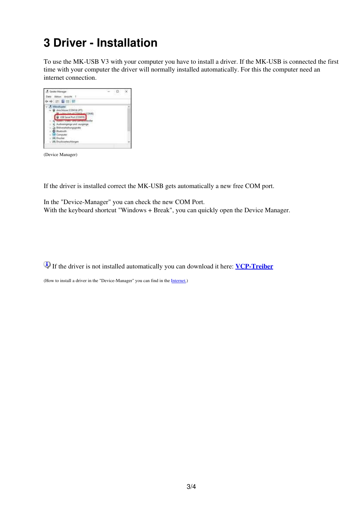#### <span id="page-4-0"></span>**3 Driver - Installation**

To use the MK-USB V3 with your computer you have to install a driver. If the MK-USB is connected the first time with your computer the driver will normally installed automatically. For this the computer need an internet connection.

| Sandha-Manager                                                                           |  |  |
|------------------------------------------------------------------------------------------|--|--|
|                                                                                          |  |  |
| 运量加紧                                                                                     |  |  |
| AkooKogto<br><b>FCMAIN GEOM &amp; LE</b><br><b>COLLECTABLE</b><br><b>Di Cassial Boun</b> |  |  |
| <b>DESIGN</b>                                                                            |  |  |
| <b>R</b> Dratke<br>Педариально<br>Anti-Picture Planty House                              |  |  |

(Device Manager)

If the driver is installed correct the MK-USB gets automatically a new free COM port.

In the "Device-Manager" you can check the new COM Port. With the keyboard shortcut "Windows + Break", you can quickly open the Device Manager.

If the driver is not installed automatically you can download it here: **[VCP-Treiber](http://www.ftdichip.com/Drivers/VCP.htm)**

(How to install a driver in the "Device-Manager" you can find in the [Internet.](https://www.google.de/search?q=install+driver+manually&ie=utf-8&oe=utf-8&channel=rcs&gws_rd=cr&ei=FCazV6LzH-iagAa0jaHACg))